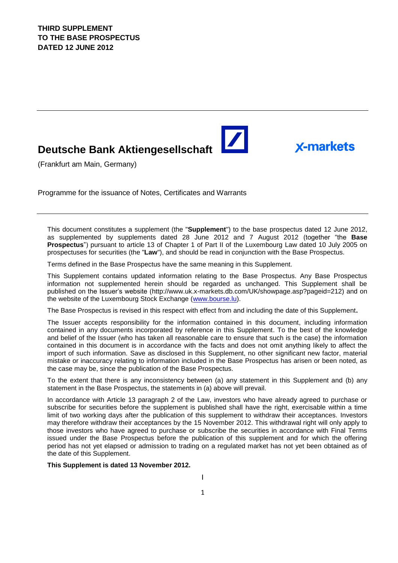# **Deutsche Bank Aktiengesellschaft**

(Frankfurt am Main, Germany)

Programme for the issuance of Notes, Certificates and Warrants

This document constitutes a supplement (the "**Supplement**") to the base prospectus dated 12 June 2012, as supplemented by supplements dated 28 June 2012 and 7 August 2012 (together "the **Base Prospectus**") pursuant to article 13 of Chapter 1 of Part II of the Luxembourg Law dated 10 July 2005 on prospectuses for securities (the "**Law**"), and should be read in conjunction with the Base Prospectus.

**X-markets** 

Terms defined in the Base Prospectus have the same meaning in this Supplement.

This Supplement contains updated information relating to the Base Prospectus. Any Base Prospectus information not supplemented herein should be regarded as unchanged. This Supplement shall be published on the Issuer's website (http://www.uk.x-markets.db.com/UK/showpage.asp?pageid=212) and on the website of the Luxembourg Stock Exchange (www.bourse.lu).

The Base Prospectus is revised in this respect with effect from and including the date of this Supplement**.**

The Issuer accepts responsibility for the information contained in this document, including information contained in any documents incorporated by reference in this Supplement. To the best of the knowledge and belief of the Issuer (who has taken all reasonable care to ensure that such is the case) the information contained in this document is in accordance with the facts and does not omit anything likely to affect the import of such information. Save as disclosed in this Supplement, no other significant new factor, material mistake or inaccuracy relating to information included in the Base Prospectus has arisen or been noted, as the case may be, since the publication of the Base Prospectus.

To the extent that there is any inconsistency between (a) any statement in this Supplement and (b) any statement in the Base Prospectus, the statements in (a) above will prevail.

In accordance with Article 13 paragraph 2 of the Law, investors who have already agreed to purchase or subscribe for securities before the supplement is published shall have the right, exercisable within a time limit of two working days after the publication of this supplement to withdraw their acceptances. Investors may therefore withdraw their acceptances by the 15 November 2012. This withdrawal right will only apply to those investors who have agreed to purchase or subscribe the securities in accordance with Final Terms issued under the Base Prospectus before the publication of this supplement and for which the offering period has not yet elapsed or admission to trading on a regulated market has not yet been obtained as of the date of this Supplement.

#### **This Supplement is dated 13 November 2012.**

1 I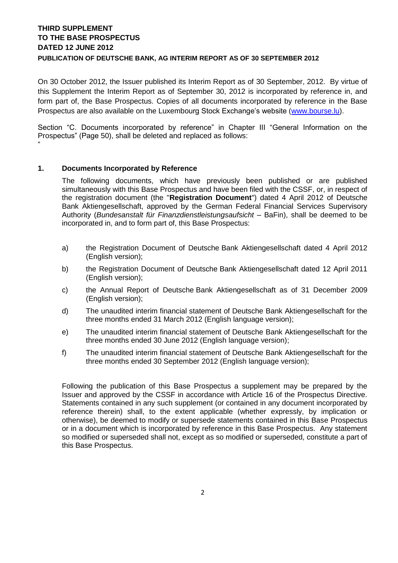# **THIRD SUPPLEMENT TO THE BASE PROSPECTUS DATED 12 JUNE 2012 PUBLICATION OF DEUTSCHE BANK, AG INTERIM REPORT AS OF 30 SEPTEMBER 2012**

On 30 October 2012, the Issuer published its Interim Report as of 30 September, 2012. By virtue of this Supplement the Interim Report as of September 30, 2012 is incorporated by reference in, and form part of, the Base Prospectus. Copies of all documents incorporated by reference in the Base Prospectus are also available on the Luxembourg Stock Exchange's website [\(www.bourse.lu\)](http://www.bourse.lu/).

Section "C. Documents incorporated by reference" in Chapter III "General Information on the Prospectus" (Page 50), shall be deleted and replaced as follows: "

#### **1. Documents Incorporated by Reference**

The following documents, which have previously been published or are published simultaneously with this Base Prospectus and have been filed with the CSSF, or, in respect of the registration document (the "**Registration Document**") dated 4 April 2012 of Deutsche Bank Aktiengesellschaft, approved by the German Federal Financial Services Supervisory Authority (*Bundesanstalt für Finanzdienstleistungsaufsicht –* BaFin), shall be deemed to be incorporated in, and to form part of, this Base Prospectus:

- a) the Registration Document of Deutsche Bank Aktiengesellschaft dated 4 April 2012 (English version);
- b) the Registration Document of Deutsche Bank Aktiengesellschaft dated 12 April 2011 (English version);
- c) the Annual Report of Deutsche Bank Aktiengesellschaft as of 31 December 2009 (English version);
- d) The unaudited interim financial statement of Deutsche Bank Aktiengesellschaft for the three months ended 31 March 2012 (English language version);
- e) The unaudited interim financial statement of Deutsche Bank Aktiengesellschaft for the three months ended 30 June 2012 (English language version);
- f) The unaudited interim financial statement of Deutsche Bank Aktiengesellschaft for the three months ended 30 September 2012 (English language version);

Following the publication of this Base Prospectus a supplement may be prepared by the Issuer and approved by the CSSF in accordance with Article 16 of the Prospectus Directive. Statements contained in any such supplement (or contained in any document incorporated by reference therein) shall, to the extent applicable (whether expressly, by implication or otherwise), be deemed to modify or supersede statements contained in this Base Prospectus or in a document which is incorporated by reference in this Base Prospectus. Any statement so modified or superseded shall not, except as so modified or superseded, constitute a part of this Base Prospectus.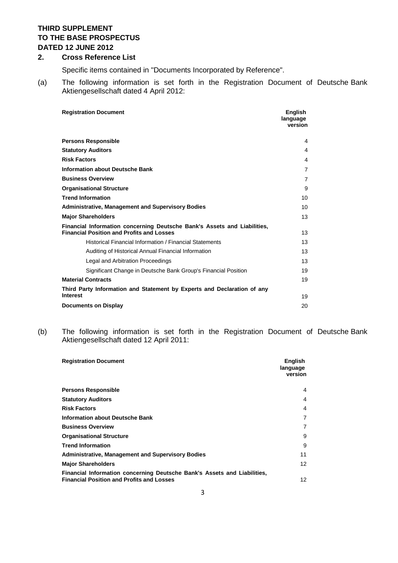# **THIRD SUPPLEMENT TO THE BASE PROSPECTUS DATED 12 JUNE 2012**

#### **2. Cross Reference List**

Specific items contained in "Documents Incorporated by Reference".

(a) The following information is set forth in the Registration Document of Deutsche Bank Aktiengesellschaft dated 4 April 2012:

| <b>Registration Document</b>                                                                                                 | English<br>language<br>version |
|------------------------------------------------------------------------------------------------------------------------------|--------------------------------|
| <b>Persons Responsible</b>                                                                                                   | 4                              |
| <b>Statutory Auditors</b>                                                                                                    | $\overline{4}$                 |
| <b>Risk Factors</b>                                                                                                          | 4                              |
| <b>Information about Deutsche Bank</b>                                                                                       | 7                              |
| <b>Business Overview</b>                                                                                                     | $\overline{7}$                 |
| <b>Organisational Structure</b>                                                                                              | 9                              |
| <b>Trend Information</b>                                                                                                     | 10                             |
| <b>Administrative, Management and Supervisory Bodies</b>                                                                     | 10                             |
| <b>Major Shareholders</b>                                                                                                    | 13                             |
| Financial Information concerning Deutsche Bank's Assets and Liabilities,<br><b>Financial Position and Profits and Losses</b> | 13                             |
| Historical Financial Information / Financial Statements                                                                      | 13                             |
| Auditing of Historical Annual Financial Information                                                                          | 13                             |
| Legal and Arbitration Proceedings                                                                                            | 13                             |
| Significant Change in Deutsche Bank Group's Financial Position                                                               | 19                             |
| <b>Material Contracts</b>                                                                                                    | 19                             |
| Third Party Information and Statement by Experts and Declaration of any                                                      |                                |
| <b>Interest</b>                                                                                                              | 19                             |
| <b>Documents on Display</b>                                                                                                  | 20                             |

(b) The following information is set forth in the Registration Document of Deutsche Bank Aktiengesellschaft dated 12 April 2011:

| <b>Registration Document</b>                                                                                                 | <b>English</b><br>language<br>version |
|------------------------------------------------------------------------------------------------------------------------------|---------------------------------------|
| <b>Persons Responsible</b>                                                                                                   | 4                                     |
| <b>Statutory Auditors</b>                                                                                                    | 4                                     |
| <b>Risk Factors</b>                                                                                                          | 4                                     |
| Information about Deutsche Bank                                                                                              | 7                                     |
| <b>Business Overview</b>                                                                                                     | 7                                     |
| <b>Organisational Structure</b>                                                                                              | 9                                     |
| <b>Trend Information</b>                                                                                                     | 9                                     |
| <b>Administrative, Management and Supervisory Bodies</b>                                                                     | 11                                    |
| <b>Major Shareholders</b>                                                                                                    | 12                                    |
| Financial Information concerning Deutsche Bank's Assets and Liabilities,<br><b>Financial Position and Profits and Losses</b> | 12                                    |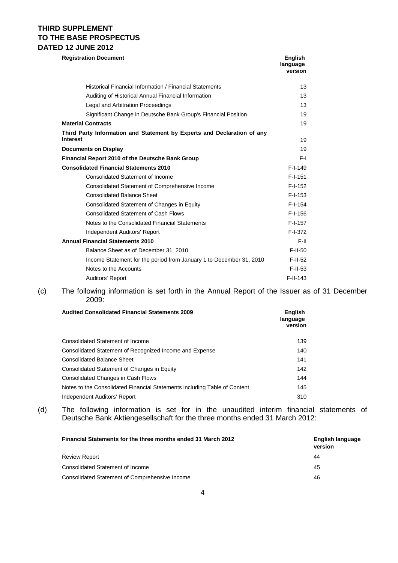# **THIRD SUPPLEMENT TO THE BASE PROSPECTUS DATED 12 JUNE 2012**

| <b>Registration Document</b>                                            | <b>English</b><br>language<br>version |
|-------------------------------------------------------------------------|---------------------------------------|
| Historical Financial Information / Financial Statements                 | 13                                    |
| Auditing of Historical Annual Financial Information                     | 13                                    |
| Legal and Arbitration Proceedings                                       | 13                                    |
| Significant Change in Deutsche Bank Group's Financial Position          | 19                                    |
| <b>Material Contracts</b>                                               | 19                                    |
| Third Party Information and Statement by Experts and Declaration of any |                                       |
| <b>Interest</b>                                                         | 19                                    |
| <b>Documents on Display</b>                                             | 19                                    |
| Financial Report 2010 of the Deutsche Bank Group                        | F-I                                   |
| <b>Consolidated Financial Statements 2010</b>                           | $F-I-149$                             |
| Consolidated Statement of Income                                        | $F-I-151$                             |
| Consolidated Statement of Comprehensive Income                          | $F-I-152$                             |
| <b>Consolidated Balance Sheet</b>                                       | $F-I-153$                             |
| Consolidated Statement of Changes in Equity                             | $F-I-154$                             |
| <b>Consolidated Statement of Cash Flows</b>                             | $F-I-156$                             |
| Notes to the Consolidated Financial Statements                          | $F-I-157$                             |
| Independent Auditors' Report                                            | $F-I-372$                             |
| <b>Annual Financial Statements 2010</b>                                 | F-II                                  |
| Balance Sheet as of December 31, 2010                                   | $F-II-50$                             |
| Income Statement for the period from January 1 to December 31, 2010     | $F-II-52$                             |
| Notes to the Accounts                                                   | $F-II-53$                             |
| Auditors' Report                                                        | $F-II-143$                            |

#### (c) The following information is set forth in the Annual Report of the Issuer as of 31 December 2009:

| <b>Audited Consolidated Financial Statements 2009</b>                     | <b>English</b><br>language<br>version |
|---------------------------------------------------------------------------|---------------------------------------|
| Consolidated Statement of Income                                          | 139                                   |
| Consolidated Statement of Recognized Income and Expense                   | 140                                   |
| <b>Consolidated Balance Sheet</b>                                         | 141                                   |
| Consolidated Statement of Changes in Equity                               | 142                                   |
| <b>Consolidated Changes in Cash Flows</b>                                 | 144                                   |
| Notes to the Consolidated Financial Statements including Table of Content | 145                                   |
| Independent Auditors' Report                                              | 310                                   |

(d) The following information is set for in the unaudited interim financial statements of Deutsche Bank Aktiengesellschaft for the three months ended 31 March 2012:

| <b>Financial Statements for the three months ended 31 March 2012</b> | English language<br>version |
|----------------------------------------------------------------------|-----------------------------|
| <b>Review Report</b>                                                 | 44                          |
| Consolidated Statement of Income                                     | 45                          |
| Consolidated Statement of Comprehensive Income                       | 46                          |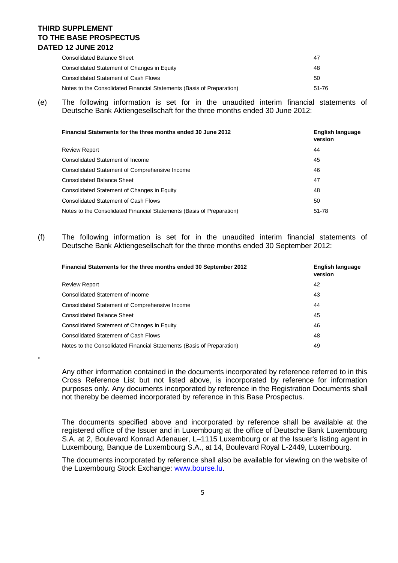# **THIRD SUPPLEMENT TO THE BASE PROSPECTUS DATED 12 JUNE 2012**

"

| Consolidated Balance Sheet                                            | 47    |
|-----------------------------------------------------------------------|-------|
| Consolidated Statement of Changes in Equity                           | 48    |
| Consolidated Statement of Cash Flows                                  | 50    |
| Notes to the Consolidated Financial Statements (Basis of Preparation) | 51-76 |

(e) The following information is set for in the unaudited interim financial statements of Deutsche Bank Aktiengesellschaft for the three months ended 30 June 2012:

| Financial Statements for the three months ended 30 June 2012          | English language<br>version |
|-----------------------------------------------------------------------|-----------------------------|
| <b>Review Report</b>                                                  | 44                          |
| Consolidated Statement of Income                                      | 45                          |
| <b>Consolidated Statement of Comprehensive Income</b>                 | 46                          |
| <b>Consolidated Balance Sheet</b>                                     | 47                          |
| Consolidated Statement of Changes in Equity                           | 48                          |
| <b>Consolidated Statement of Cash Flows</b>                           | 50                          |
| Notes to the Consolidated Financial Statements (Basis of Preparation) | 51-78                       |

(f) The following information is set for in the unaudited interim financial statements of Deutsche Bank Aktiengesellschaft for the three months ended 30 September 2012:

| Financial Statements for the three months ended 30 September 2012     | English language<br>version |
|-----------------------------------------------------------------------|-----------------------------|
| <b>Review Report</b>                                                  | 42                          |
| Consolidated Statement of Income                                      | 43                          |
| Consolidated Statement of Comprehensive Income                        | 44                          |
| <b>Consolidated Balance Sheet</b>                                     | 45                          |
| Consolidated Statement of Changes in Equity                           | 46                          |
| <b>Consolidated Statement of Cash Flows</b>                           | 48                          |
| Notes to the Consolidated Financial Statements (Basis of Preparation) | 49                          |
|                                                                       |                             |

Any other information contained in the documents incorporated by reference referred to in this Cross Reference List but not listed above, is incorporated by reference for information purposes only. Any documents incorporated by reference in the Registration Documents shall not thereby be deemed incorporated by reference in this Base Prospectus.

The documents specified above and incorporated by reference shall be available at the registered office of the Issuer and in Luxembourg at the office of Deutsche Bank Luxembourg S.A. at 2, Boulevard Konrad Adenauer, L–1115 Luxembourg or at the Issuer's listing agent in Luxembourg, Banque de Luxembourg S.A., at 14, Boulevard Royal L-2449, Luxembourg.

The documents incorporated by reference shall also be available for viewing on the website of the Luxembourg Stock Exchange: [www.bourse.lu.](http://www.bourse.lu/)